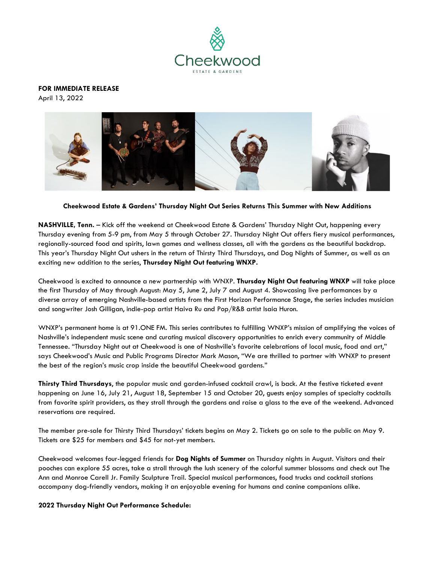

**FOR IMMEDIATE RELEASE**  April 13, 2022



**Cheekwood Estate & Gardens' Thursday Night Out Series Returns This Summer with New Additions**

**NASHVILLE, Tenn.** – Kick off the weekend at Cheekwood Estate & Gardens' Thursday Night Out, happening every Thursday evening from 5-9 pm, from May 5 through October 27. Thursday Night Out offers fiery musical performances, regionally-sourced food and spirits, lawn games and wellness classes, all with the gardens as the beautiful backdrop. This year's Thursday Night Out ushers in the return of Thirsty Third Thursdays, and Dog Nights of Summer, as well as an exciting new addition to the series, **Thursday Night Out featuring WNXP.**

Cheekwood is excited to announce a new partnership with WNXP. **Thursday Night Out featuring WNXP** will take place the first Thursday of May through August: May 5, June 2, July 7 and August 4. Showcasing live performances by a diverse array of emerging Nashville-based artists from the First Horizon Performance Stage, the series includes musician and songwriter Josh Gilligan, indie-pop artist Haiva Ru and Pop/R&B artist Isaia Huron.

WNXP's permanent home is at 91.ONE FM. This series contributes to fulfilling WNXP's mission of amplifying the voices of Nashville's independent music scene and curating musical discovery opportunities to enrich every community of Middle Tennessee. "Thursday Night out at Cheekwood is one of Nashville's favorite celebrations of local music, food and art," says Cheekwood's Music and Public Programs Director Mark Mason, "We are thrilled to partner with WNXP to present the best of the region's music crop inside the beautiful Cheekwood gardens."

**Thirsty Third Thursdays**, the popular music and garden-infused cocktail crawl, is back. At the festive ticketed event happening on June 16, July 21, August 18, September 15 and October 20, guests enjoy samples of specialty cocktails from favorite spirit providers, as they stroll through the gardens and raise a glass to the eve of the weekend. Advanced reservations are required.

The member pre-sale for Thirsty Third Thursdays' tickets begins on May 2. Tickets go on sale to the public on May 9. Tickets are \$25 for members and \$45 for not-yet members.

Cheekwood welcomes four-legged friends for **Dog Nights of Summer** on Thursday nights in August. Visitors and their pooches can explore 55 acres, take a stroll through the lush scenery of the colorful summer blossoms and check out The Ann and Monroe Carell Jr. Family Sculpture Trail. Special musical performances, food trucks and cocktail stations accompany dog-friendly vendors, making it an enjoyable evening for humans and canine companions alike.

## **2022 Thursday Night Out Performance Schedule:**